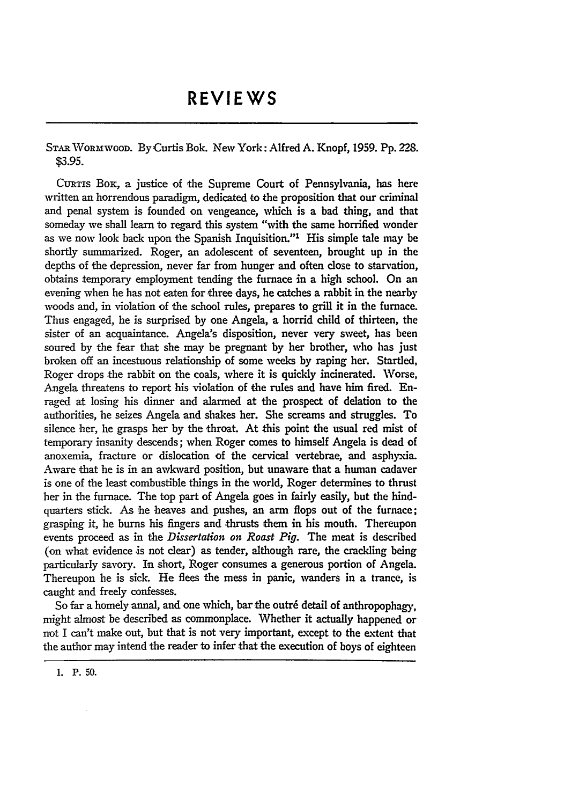## **REVIEWS**

STAR WORMWOOD. ByCurtis Bok. New York: Alfred **A.** Knopf, 1959. Pp. 228. **\$3.95.**

CURTIS BOK, a justice of the Supreme Court of Pennsylvania, has here written an horrendous paradigm, dedicated to the proposition that our criminal and penal system is founded on vengeance, which is a bad thing, and that someday we shall learn to regard this system "with the same horrified wonder as we now look back upon the Spanish Inquisition."' His simple tale may be shortly summarized. Roger, an adolescent of seventeen, brought up in the depths of the depression, never far from hunger and often close to starvation, obtains temporary employment tending the furnace in a high school. On an evening when he has not eaten for three days, he catches a rabbit in the nearby woods and, in violation of the school rules, prepares to grill it in the furnace. Thus engaged, he is surprised by one Angela, a horrid child of thirteen, the sister of an acquaintance. Angela's disposition, never very sweet, has been soured by the fear that she may be pregnant by her brother, who has just broken off an incestuous relationship of some weeks by raping her. Startled, Roger drops the rabbit on the coals, where it is quickly incinerated. Worse, Angela threatens to report his violation of the rules and have him fired. Enraged at losing his dinner and alarmed at the prospect of delation to the authorities, he seizes Angela and shakes her. She screams and struggles. To silence her, he grasps her by the throat. At this point the usual red mist of temporary insanity descends; when Roger comes to himself Angela is dead of anoxemia, fracture or dislocation of the cervical vertebrae, and asphyxia. Aware that he is in an awkward position, but unaware that a human cadaver is one of the least combustible things in the world, Roger determines to thrust her in the furnace. The top part of Angela goes in fairly easily, but the hindquarters stick. As he heaves and pushes, an arm flops out of the furnace; grasping it, he burns his fingers and thrusts them in his mouth. Thereupon events proceed as in the *Dissertation on Roast Pig.* The meat is described (on what evidence is not clear) as tender, although rare, the crackling being particularly savory. In short, Roger consumes a generous portion of Angela. Thereupon he is sick. He flees the mess in panic, wanders in a trance, is caught and freely confesses.

So far a homely annal, and one which, bar the outré detail of anthropophagy, might almost be described as commonplace. Whether it actually happened or not I can't make out, but that is not very important, except to the extent that the author may intend the reader to infer that the execution of boys of eighteen

**<sup>1.</sup> P. 50.**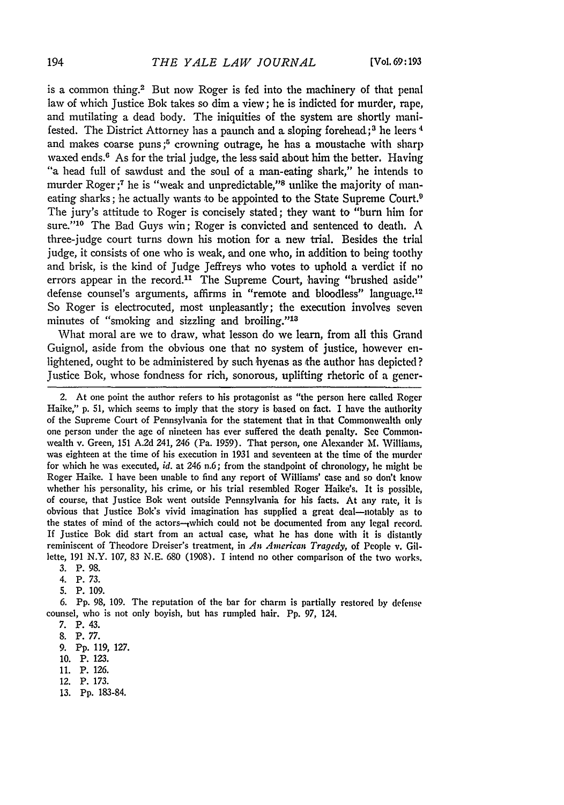is a common thing.2 But now Roger is fed into the machinery of that penal law of which Justice Bok takes so dim a view; he is indicted for murder, rape, and mutilating a dead body. The iniquities of the system are shortly manifested. The District Attorney has a paunch and a sloping forehead; **3** he leers 4 and makes coarse puns;<sup>5</sup> crowning outrage, he has a moustache with sharp waxed ends. 6 As for the trial judge, the less said about him the better. Having "a head full of sawdust and the soul of a man-eating shark," he intends to murder Roger;<sup>7</sup> he is "weak and unpredictable,"<sup>8</sup> unlike the majority of maneating sharks; he actually wants to be appointed to the State Supreme Court.<sup>9</sup> The jury's attitude to Roger is concisely stated; they want to "burn him for sure."<sup>10</sup> The Bad Guys win; Roger is convicted and sentenced to death. A three-judge court turns down his motion for a new trial. Besides the trial judge, it consists of one who is weak, and one who, in addition to being toothy and brisk, is the kind of Judge Jeffreys who votes to uphold a verdict if no errors appear in the record.<sup>11</sup> The Supreme Court, having "brushed aside" defense counsel's arguments, affirms in "remote and bloodless" language.<sup>12</sup> So Roger is electrocuted, most unpleasantly; the execution involves seven minutes of "smoking and sizzling and broiling."<sup>13</sup>

What moral are we to draw, what lesson do we learn, from all this Grand Guignol, aside from the obvious one that no system of justice, however enlightened, ought to be administered by such hyenas as the author has depicted **?** Justice Bok, whose fondness for rich, sonorous, uplifting rhetoric of a gener-

2. At one point the author refers to his protagonist as "the person here called Roger Haike," p. **51,** which seems to imply that the story is based on fact. I have the authority of the Supreme Court of Pennsylvania for the statement that in that Commonwealth only one person under the age of nineteen has ever suffered the death penalty. See Commonwealth v. Green, **151** A.2d 241, 246 (Pa. 1959). That person, one Alexander M. Williams, was eighteen at the time of his execution in 1931 and seventeen at the time of the murder for which he was executed, id. at 246 n.6; from the standpoint of chronology, **he** might be Roger Haike. I have been unable to find any report of Williams' case and so don't know whether his personality, his crime, or his trial resembled Roger Haike's. It is possible, of course, that Justice Bok went outside Pennsylvania for his facts. At any rate, it is obvious that Justice Bok's vivid imagination has supplied a great deal-notably as to the states of mind of the actors--twhich could not be documented from any legal record. If Justice Bok did start from an actual case, what he has done with it is distantly reminiscent of Theodore Dreiser's treatment, in *An American Tragedy,* of People v. Gillette, 191 N.Y. 107, 83 N.E. 680 (1908). I intend no other comparison of the two works. 3. P. 98.

4. P. 73.

5. **P.** 109.

6. Pp. **98,** 109. The reputation of the bar for charm is partially restored by defense counsel, who is not only boyish, but has rumpled hair. Pp. 97, 124.

7. P. 43.

8. P. 77.

- **10.** P. **123.**
- **11.** P. 126.
- 12. P. 173.
- **13. Pp.** 183-84.

<sup>9.</sup> Pp. 119, 127.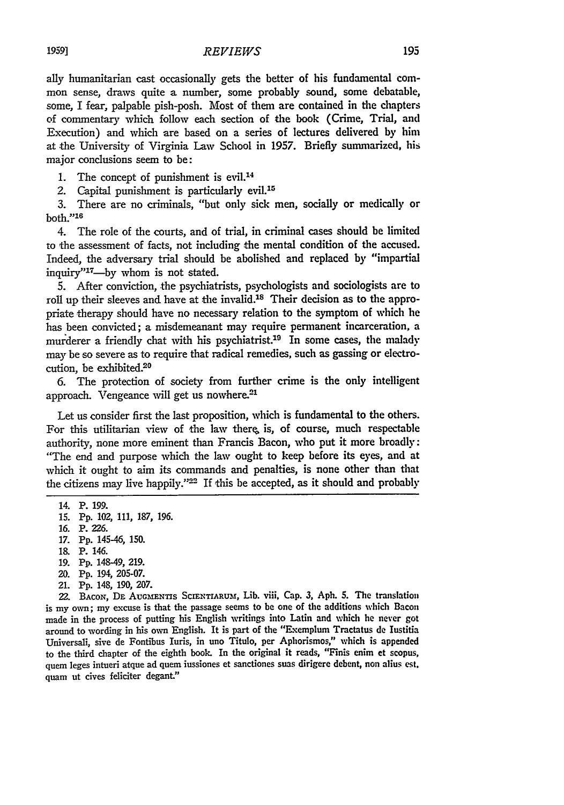ally humanitarian cast occasionally gets the better of his fundamental common sense, draws quite a number, some probably sound, some debatable, some, I fear, palpable pish-posh. Most of them are contained in the chapters of commentary which follow each section of the book (Crime, Trial, and Execution) and which are based on a series of lectures delivered by him at the University of Virginia Law School in 1957. Briefly summarized, his major conclusions seem to be:

1. The concept of punishment is evil.<sup>14</sup>

2. Capital punishment is particularly evil.15

**3.** There are no criminals, "but only sick men, socially or medically or both."<sup>16</sup>

4. The role of the courts, and of trial, in criminal cases should be limited to the assessment of facts, not including the mental condition of the accused. Indeed, the adversary trial should be abolished and replaced by "impartial inquiry"<sup>17</sup>---by whom is not stated.

**5.** After conviction, the psychiatrists, psychologists and sociologists are to roll up their sleeves and have at the invalid.<sup>18</sup> Their decision as to the appropriate therapy should have no necessary relation to the symptom of which **he** has been convicted; a misdemeanant may require permanent incarceration, a murderer a friendly chat with his psychiatrist.<sup>19</sup> In some cases, the malady may be so severe as to require that radical remedies, such as gassing or electrocution, be exhibited.<sup>20</sup>

**6.** The protection of society from further crime is the only intelligent approach. Vengeance will get us nowhere.<sup>21</sup>

Let us consider first the last proposition, which is fundamental to the others. For this utilitarian view of the law there, is, of course, much respectable authority, none more eminent than Francis Bacon, who put it more broadly: "The end and purpose which the law ought to keep before its eyes, and at which it ought to aim its commands and penalties, is none other than that the citizens may live happily."<sup>22</sup> If this be accepted, as it should and probably

- **17. Pp.** 145-46, **150.**
- **18.** P. 146.

- 20. **Pp.** 194, **205-07.**
- 21. **Pp.** 148, **190, 207.**

22. BAcoN, **DE** AUcGMENrIs SCIENTIARUM, Lib. viii, Cap. 3, **Aph. 5.** The translation is my own; my excuse is that the passage seems to be one of the additions which Bacon made in the process of putting his English writings into Latin and which he never got around to wording in his own English. It is part of the "Exemplum Tractatus de Iustitia Universali, sive de Fontibus Iuris, in uno Titulo, per Aphorismos," which is appended to the third chapter **of** the eighth book. In the original it reads, "Finis enim et scopus, quem leges intueri atque ad quern iussiones et sanctiones suas dirigere debent, non alius est. quam ut Cives feliciter degant."

<sup>14.</sup> P. **199.**

**<sup>15.</sup> Pp.** 102, 111, 187, 196.

**<sup>16.</sup>** P. **226.**

**<sup>19.</sup> Pp.** 148-49, **219.**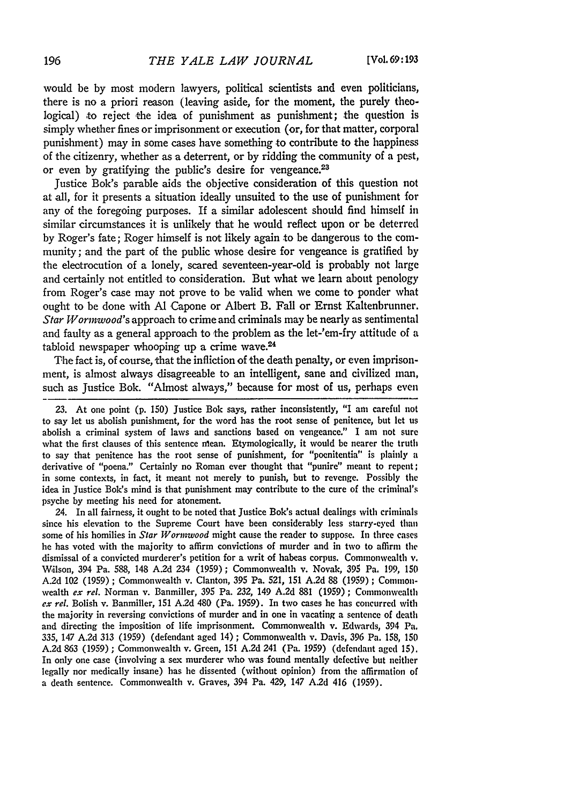would be **by** most modern lawyers, political scientists and even politicians, there is no a priori reason (leaving aside, for the moment, the purely theological) to reject the idea of punishment as punishment; the question is simply whether fines or imprisonment or execution (or, for that matter, corporal punishment) may in some cases have something to contribute to the happiness of the citizenry, whether as a deterrent, or **by** ridding the community of a pest, or even by gratifying the public's desire for vengeance.<sup>23</sup>

Justice Bok's parable aids the objective consideration of this question not at all, for it presents a situation ideally unsuited to the use of punishment for any of the foregoing purposes. If a similar adolescent should find himself in similar circumstances it is unlikely that he would reflect upon or be deterred **by** Roger's fate; Roger himself is not likely again to be dangerous to the community; and the part of the public whose desire for vengeance is gratified **by** the electrocution of a lonely, scared seventeen-year-old is probably not large and certainly not entitled to consideration. But what we learn about penology from Roger's case may not prove to be valid when we come to ponder what ought to be done with Al Capone or Albert B. Fall or Ernst Kaltenbrunner. *Star Wormwood's* approach to crime and criminals may be nearly as sentimental and faulty as a general approach to the problem as the let-'em-fry attitude of a tabloid newspaper whooping up a crime wave.<sup>24</sup>

The fact is, of course, that the infliction of the death penalty, or even imprisonment, is almost always disagreeable to an intelligent, sane and civilized man, such as justice Bok. "Almost always," because for most of us, perhaps even

**23.** At one point **(p. 150)** Justice Bok says, rather inconsistently, "I am careful not to say let us abolish punishment, for the word has the root sense of penitence, but let us abolish a criminal system of laws and sanctions based on vengeance." I am not sure what the first clauses of this sentence mean. Etymologically, it would be nearer the truth to say that penitence has the root sense of punishment, for "poenitentia" is plainly **a** derivative of "poena." Certainly no Roman ever thought that "punire" meant to repent; in some contexts, in fact, it meant not merely to punish, but to revenge. Possibly the idea in Justice Bok's mind is that punishment may contribute to the cure **of** the criminal's psyche **by** meeting his need for atonement.

24. In all fairness, it ought to be noted that Justice Bok's actual dealings with criminals since his elevation to the Supreme Court have been considerably less starry-eyed than some of his homilies in *Star Wormwood* might cause the reader to suppose. In three cases he has voted with the majority to affirm convictions of murder and in two to affirm **the** dismissal of a convicted murderer's petition for a writ of habeas corpus. Commonwealth v. Wilson, 394 Pa. **588,** 148 **A.2d** 234 **(1959);** Commonwealth v. Novak, **395** Pa. 199, **150 A.2d** 102 (1959) ; Commonwealth v. Clanton, **395** Pa. 521, **151 A.2d 88 (1959) ;** Commonwealth *ex rel.* Norman v. Banmiller, **395** Pa. 232, 149 **A.2d 881** (1959) **;** Commonwealth *ex rel.* Bolish v. Banmiller, **151 A2d** 480 (Pa. **1959).** In two cases **he** has concurred with the majority in reversing convictions of murder and in one in vacating a sentence of death and directing the imposition of life imprisonment. Commonwealth v. Edwards, 394 Pa. **335,** 147 **A.2d 313 (1959)** (defendant aged 14) ; Commonwealth v. Davis, **396** Pa. **158, 150 A.2d 863** (1959) ; Commonwealth v. Green, **151 A.2d** 241 (Pa. **1959)** (defendant aged **15).** In only one case (involving a sex murderer who was found mentally defective but neither legally nor medically insane) has he dissented (without opinion) from the affirmation of a death sentence. Commonwealth v. Graves, 394 Pa. 429, 147 **A.2d** 416 **(1959).**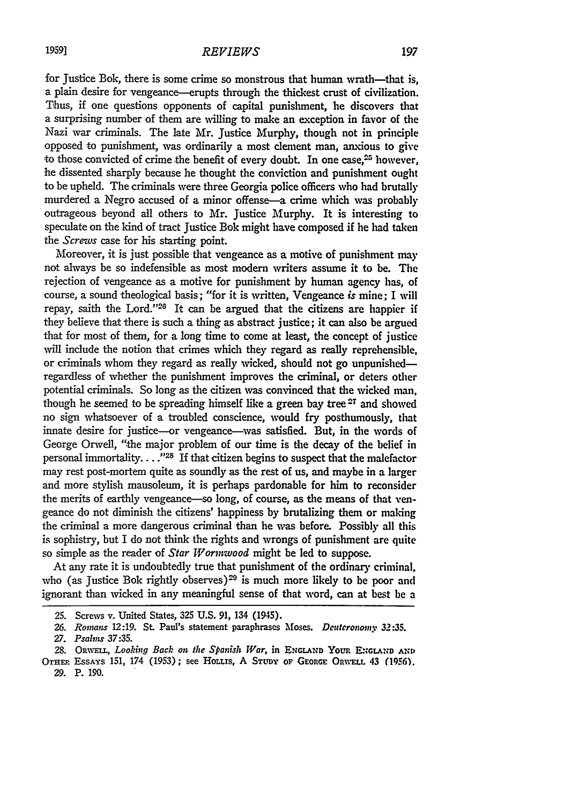for Justice Bok, there is some crime so monstrous that human wrath—that is, a plain desire for vengeance—erupts through the thickest crust of civilization. Thus, if one questions opponents of capital punishment, he discovers that a surprising number of them are willing to make an exception in favor of the Nazi war criminals. The late Mr. Justice Murphy, though not in principle opposed to punishment, was ordinarily a most clement man, anxious to give to those convicted of crime the benefit of every doubt. In one case,<sup>25</sup> however, he dissented sharply because he thought the conviction and punishment ought to be upheld. The criminals were three Georgia police officers who had brutally murdered a Negro accused of a minor offense-a crime which was probably outrageous beyond all others to Mr. Justice Murphy. It is interesting to speculate on the kind of tract Justice Bok might have composed if he had taken *the Screws* case for his starting point.

Moreover, it is just possible that vengeance as a motive of punishment may not always be so indefensible as most modern writers assume it to be. The rejection of vengeance as a motive for punishment by human agency has, of course, a sound theological basis; "for it is written, Vengeance *is* mine; I will repay, saith the Lord."206 It can be argued that the citizens are happier if they believe that there is such a thing as abstract justice; it can also be argued that for most of them, for a long time to come at least, the concept of justice will include the notion that crimes which they regard as really reprehensible. or criminals whom they regard as really wicked, should not go unpunishedregardless of whether the punishment improves the criminal, or deters other potential criminals. So long as the citizen was convinced that the wicked man, though he seemed to be spreading himself like a green bay tree <sup>27</sup> and showed no sign whatsoever of a troubled conscience, would fry posthumously, that innate desire for justice--or vengeance-was satisfied. But, in the words of George Orwell, '"the major problem of our time is the decay of the belief in personal immortality.  $\ldots$ <sup>28</sup> If that citizen begins to suspect that the malefactor may rest post-mortem quite as soundly as the rest of us, and maybe in a larger and more stylish mausoleum, it is perhaps pardonable for him to reconsider the merits of earthly vengeance-so long, of course, as the means of that vengeance do not diminish the citizens' happiness **by** brutalizing them or making the criminal a more dangerous criminal than he was before. Possibly all this is sophistry, but I do not think the rights and wrongs of punishment are quite so simple as the reader of *Star Wormwood* might be led to suppose.

At any rate it is undoubtedly true that punishment of the ordinary criminal, who (as Justice Bok rightly observes)<sup>29</sup> is much more likely to be poor and ignorant than wicked in any meaningful sense of that word, can at best be a

**<sup>25.</sup>** Screws v. United States, **325** U.S. 91, 134 (1945).

**<sup>26.</sup>** *Roman~s* 12:19. St Paul's statement paraphrases Moses. *Deutcrotnosy* **32:35.** *27. Psalms* 37:35.

**<sup>28.</sup>** OawEru., *Looking Back on the Spanish War,* in **ENGLAND** YouR **ENGLAMD** AND OTHER ESSAYS 151, 174 (1953); see HOLLIS, A STUDY OF GEORGE ORWELL 43 (1956).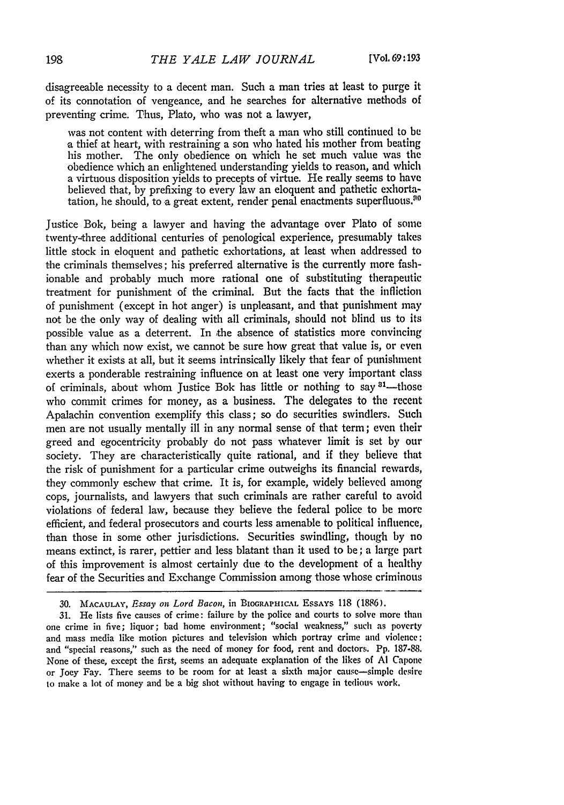disagreeable necessity to a decent man. Such a man tries at least to purge it of its connotation of vengeance, and he searches for alternative methods of preventing crime. Thus, Plato, who was not a lawyer,

was not content with deterring from theft a man who still continued to be a thief at heart, with restraining a son who hated his mother from beating his mother. The only obedience on which he set much value was the obedience which an enlightened understanding yields to reason, and which a virtuous disposition yields to precepts of virtue. He really seems to have believed that, by prefixing to every law an eloquent and pathetic exhortatation, he should, to a great extent, render penal enactments superfluous.<sup>80</sup>

Justice Bok, being a lawyer and having the advantage over Plato of some twenty-three additional centuries of penological experience, presumably takes little stock in eloquent and pathetic exhortations, at least when addressed to the criminals themselves; his preferred alternative is the currently more fashionable and probably much more rational one of substituting therapeutic treatment for punishment of the criminal. But the facts that the infliction of punishment (except in hot anger) is unpleasant, and that punishment may not be the only way of dealing with all criminals, should not blind us to its possible value as a deterrent. In the absence of statistics more convincing than any which now exist, we cannot be sure how great that value is, or even whether it exists at all, but it seems intrinsically likely that fear of punishment exerts a ponderable restraining influence on at least one very important class of criminals, about whom Justice Bok has little or nothing to say  $81$ -those who commit crimes for money, as a business. The delegates to the recent Apalachin convention exemplify this class; so do securities swindlers. Such men are not usually mentally ill in any normal sense of that term; even their greed and egocentricity probably do not pass whatever limit is set by our society. They are characteristically quite rational, and if they believe that the risk of punishment for a particular crime outweighs its financial rewards, they commonly eschew that crime. It is, for example, widely believed among cops, journalists, and lawyers that such criminals are rather careful to avoid violations of federal law, because they believe the federal police to be more efficient, and federal prosecutors and courts less amenable to political influence, than those in some other jurisdictions. Securities swindling, though by no means extinct, is rarer, pettier and less blatant than it used to be; a large part of this improvement is almost certainly due to the development of a healthy fear of the Securities and Exchange Commission among those whose criminous

**<sup>30.</sup> MACAULAY,** *Essay on Lord Bacon,* in **BIOGRAPHICAL** ESSAYS 118 (1886).

**<sup>31.</sup>** He lists five causes of crime: failure by the police and courts to solve more than one crime in five; liquor; bad home environment; "social weakness," such as poverty and mass media like motion pictures and television which portray crime and violence; and "special reasons," such as the need of money for food, rent and doctors. **Pp.** 187-88. None of these, except the first, seems an adequate explanation of the likes of **Al** Capone or Joey Fay. There seems to be room for at least a sixth major cause-simple desire to make a lot of money and be a big shot without having to engage in tedious work.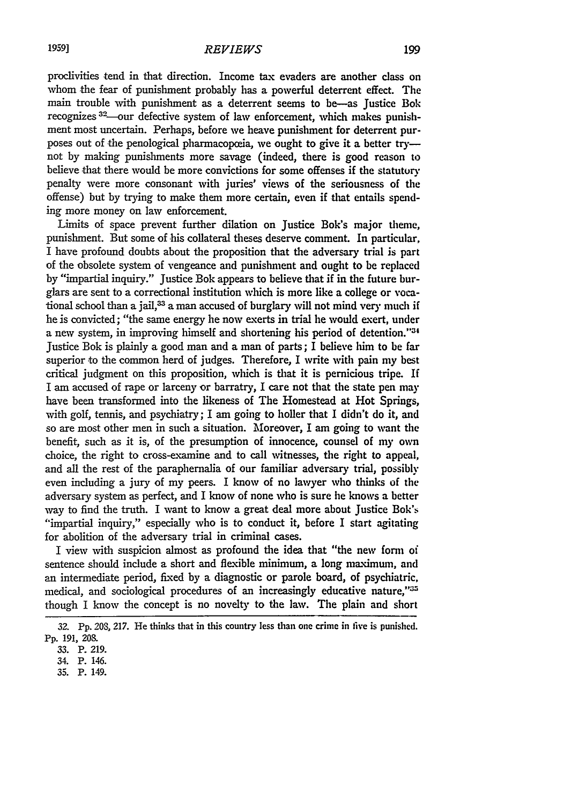proclivities tend in that direction. Income tax evaders are another class on whom the fear of punishment probably has a powerful deterrent effect. The main trouble with punishment as a deterrent seems to be-as Justice **Bok** recognizes  $32$  -our defective system of law enforcement, which makes punishment most uncertain. Perhaps, before we heave punishment for deterrent purposes out of the penological pharmacopceia, we ought to give it a better trynot by making punishments more savage (indeed, there is **good** reason to believe that there would be more convictions for some offenses if the statutory penalty were more consonant with juries' views of the seriousness of the offense) but by trying to make them more certain, even if that entails spending more money on law enforcement.

Limits of space prevent further dilation on Justice Bok's major theme, punishment. But some of his collateral theses deserve comment. In particular, I have profound doubts about the proposition that the adversary trial is part of the obsolete system of vengeance and punishment and ought to be replaced by "impartial inquiry." Justice Bok appears to believe that if in the future burglars are sent to a correctional institution which is more like a college or vocational school than a jail,<sup>33</sup> a man accused of burglary will not mind very much if he is convicted; "the same energy he now exerts in trial he would exert, under a new system, in improving himself and shortening his period of detention."<sup>34</sup> Justice Bok is plainly a good man and a man of parts; I believe him to be far superior to the common herd of judges. Therefore, I write with pain my best critical judgment on this proposition, wlich is that it is pernicious tripe. If I am accused of rape or larceny or barratry, I care not that the state pen may have been transformed into the likeness of The Homestead at Hot Springs, with golf, tennis, and psychiatry; I am going to holler that I didn't do it, and so are most other men in such a situation. Moreover, I am going to vant the benefit, such as it is, of the presumption of innocence, counsel of my own choice, the right to cross-examine and to call witnesses, the right to appeal, and all the rest of **the** paraphernalia of our familiar adversary trial, possibly even including a jury of my peers. I know of no lawyer who thinks of the adversary system as perfect, and I know of none who is sure he knows a better way to find the truth. I want to know a great deal more about Justice Bok's "impartial inquiry," especially who is to conduct it, before I start agitating for abolition of the adversary trial in criminal cases.

I view with suspicion almost as profound the idea that "the new form of sentence should include a short and flexible minimum, a long maximum, and an intermediate period, fixed **by** a diagnostic or parole board, of psychiatric, medical, and sociological procedures of an increasingly educative nature,"35 though I know the concept is no novelty to the law. The plain and short

**<sup>32.</sup> Pp.** 208, **217.** He thinks that in this **country** less than one crime in **five is punished.** Pp. 191, 208.

**<sup>33.</sup> P. 219.**

<sup>34.</sup> P. 146.

<sup>35.</sup> P. 149.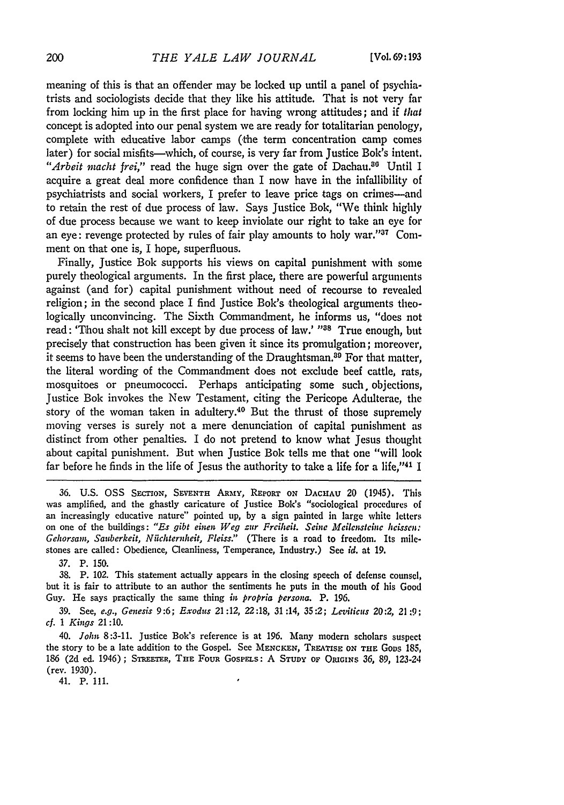meaning of this is that an offender may be locked up until a panel of psychiatrists and sociologists decide that they like his attitude. That is not very far from locking him up in the first place for having wrong attitudes; and if *that* concept is adopted into our penal system we are ready for totalitarian penology, complete with educative labor camps ('the term concentration camp comes later) for social misfits—which, of course, is very far from Justice Bok's intent. "Arbeit macht frei," read the huge sign over the gate of Dachau.<sup>86</sup> Until I acquire a great deal more confidence than I now have in the infallibility of psychiatrists and social workers, I prefer to leave price tags on crimes---and to retain the rest of due process of law. Says Justice Bok, "We think **highly** of due process because we want to keep inviolate our right to take an eye for an eye: revenge protected by rules of fair play amounts to holy war."<sup>37</sup> Comment on that one is, I hope, superfluous.

Finally, Justice Bok supports his views on capital punishment with some purely theological arguments. In the first place, there are powerful arguments against (and for) capital punishment without need of recourse to revealed religion; in the second place I find Justice Bok's theological arguments theologically unconvincing. The Sixth Commandment, he informs us, "does not read: 'Thou shalt not kill except **by** due process of law.' **"88** True enough, but precisely that construction has been given it since its promulgation; moreover, it seems to have been the understanding of the Draughtsman.<sup>80</sup> For that matter, the literal wording of the Commandment does not exclude beef cattle, rats, mosquitoes or pneumococci. Perhaps anticipating some such, objections, justice Bok invokes the New Testament, citing the Pericope Adulterae, the story of the woman taken in adultery.<sup>40</sup> But the thrust of those supremely moving verses is surely not a mere denunciation of capital punishment as distinct from other penalties. I do not pretend to know what Jesus thought about capital punishment. But when Justice Bok tells me that one "will look far before he finds in the life of Jesus the authority to take a life for a life," $41$  I

**36.** U.S. **OSS SECTION, SEVENTH ARmY,** REPORT **ON DACHAU** 20 (1945). This was amplified, and the ghastly caricature of Justice Bok's "sociological procedures of an increasingly educative nature" pointed up, by a sign painted in large white letters on one of the buildings: *"Es gibt* einen *Weg* zur *Freiheit. Seine Meiletsichic hcisseu: Gehorsam, Sauberkeit, Nilchternheit, Fleiss."* (There is a road to freedom. Its milestones are called: Obedience, Cleanliness, Temperance, Industry.) See *id.* at **19.**

**37.** P. **150.**

**38.** P. 102. This statement actually appears in the closing speech of defense counsel, but it is fair to attribute to an author the sentiments he puts in the mouth of his Good Guy. He says practically the same thing *in propria persona.* P. **196.**

**39.** See, *e.g., Genesis* **9:6;** *Exodus* 21:12, **22:18,** 31:14, **35:2;** *Leviticus* 20:2, **21:9;** *cf. 1 Kings* 21:10.

40. *John* **8:3-11.** Justice Bok's reference is at **196.** Many modern scholars suspect the story to be a late addition to the Gospel. See **MENCKEN, TREATISE ON TH-** Gons **185,** 186 (2d ed. 1946); STREETER, THE FOUR GOSPELS: A STUDY OF ORIGINS 36, 89, 123-24 (rev. **1930).**

41. P. **111.**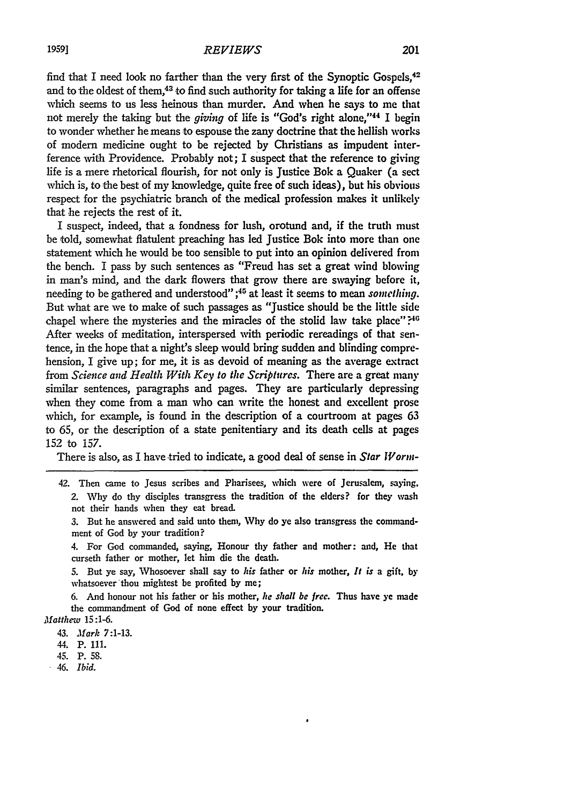find that I need look no farther than the very first of the Synoptic Gospels.<sup>42</sup> and to the oldest of them,<sup>43</sup> to find such authority for taking a life for an offense which seems to us less heinous than murder. And when he says to me that not merely the taking but the *giving* of life is "God's right alone,"<sup>44</sup> I begin to wonder whether he means to espouse the zany doctrine that the hellish works of modem medicine ought to be rejected by Christians as impudent interference with Providence. Probably not; I suspect that the reference to giving life is a mere rhetorical flourish, for not only is Justice Bok a Quaker (a sect which is, to the best of my knowledge, quite free of such ideas), but his obvious respect for the psychiatric branch of the medical profession makes it unlikely that he rejects the rest of it.

I suspect, indeed, that a fondness for lush, orotund and, if the truth must be told, somewhat flatulent preaching has led Justice Bok into more than one statement which he would be too sensible to put into an opinion delivered from the bench. I pass by such sentences as "Freud has set a great wind blowing in man's mind, and the dark flowers that grow there are swaying before it, needing to be gathered and understood";<sup>45</sup> at least it seems to mean *something*. But what are we to make of such passages as "Justice should be the little side chapel where the mysteries and the miracles of the stolid law take place"  $\mathbb{H}^6$ After weeks of meditation, interspersed with periodic rereadings of that sentence, in the hope that a night's sleep would bring sudden and blinding comprehension, I give up; for me, it is as devoid of meaning as the average extract from *Science and Health With Key to the Scripturcs.* There are a great many similar sentences, paragraphs and pages. They are particularly depressing when they come from a man who can write the honest and excellent prose which, for example, is found in the description of a courtroom at pages 63 to **65,** or the description of a state penitentiary and its death cells at pages **152** to 157.

There is also, as I have tried to indicate, a good deal of sense in *Star Worm-*

- 42. Then came to Jesus scribes and Pharisees, which were of Jerusalem, saying, 2. **Why** do thy disciples transgress the tradition of the elders? for they wash not their hands when they eat bread.
	- **3.** But he answered and said unto them, Why do ye also transgress the commandment of God by your tradition?
	- 4. For God commanded, saying, Honour thy father and mother: and, He that curseth father or mother, let him die the death.
	- **5.** But ye say, Whosoever shall say to *his* father or *his* mother, **It** *is* a gift, **by** whatsoever thou mightest be profited **by** me;
	- 6. And honour not his father or his mother, *he shall be free.* Thus have ye made the commandment of God of none effect **by** your tradition.
- *Matthew* **15:1-6.**
	- 43. *Mark* **7:1-13.**
	- 44. P. **111.**
	- 45. P. 58.
	- *46. Ibid.*